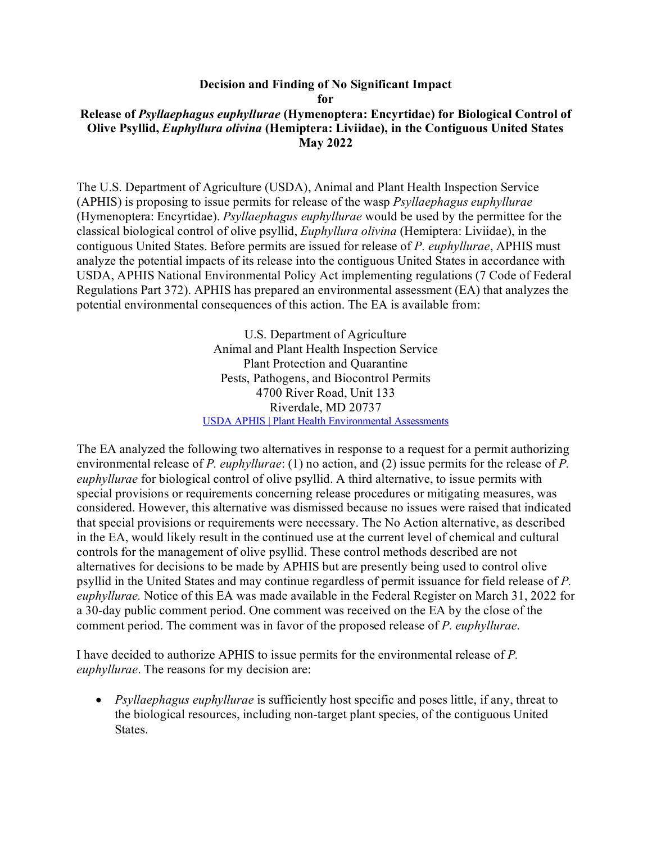## **Decision and Finding of No Significant Impact for Release of** *Psyllaephagus euphyllurae* **(Hymenoptera: Encyrtidae) for Biological Control of Olive Psyllid,** *Euphyllura olivina* **(Hemiptera: Liviidae), in the Contiguous United States May 2022**

The U.S. Department of Agriculture (USDA), Animal and Plant Health Inspection Service (APHIS) is proposing to issue permits for release of the wasp *Psyllaephagus euphyllurae* (Hymenoptera: Encyrtidae). *Psyllaephagus euphyllurae* would be used by the permittee for the classical biological control of olive psyllid, *Euphyllura olivina* (Hemiptera: Liviidae), in the contiguous United States. Before permits are issued for release of *P. euphyllurae*, APHIS must analyze the potential impacts of its release into the contiguous United States in accordance with USDA, APHIS National Environmental Policy Act implementing regulations (7 Code of Federal Regulations Part 372). APHIS has prepared an environmental assessment (EA) that analyzes the potential environmental consequences of this action. The EA is available from:

> U.S. Department of Agriculture Animal and Plant Health Inspection Service Plant Protection and Quarantine Pests, Pathogens, and Biocontrol Permits 4700 River Road, Unit 133 Riverdale, MD 20737 [USDA APHIS | Plant Health Environmental Assessments](https://www.aphis.usda.gov/aphis/ourfocus/planthealth/plant-pest-and-disease-programs/ea)

The EA analyzed the following two alternatives in response to a request for a permit authorizing environmental release of *P. euphyllurae*: (1) no action, and (2) issue permits for the release of *P. euphyllurae* for biological control of olive psyllid. A third alternative, to issue permits with special provisions or requirements concerning release procedures or mitigating measures, was considered. However, this alternative was dismissed because no issues were raised that indicated that special provisions or requirements were necessary. The No Action alternative, as described in the EA, would likely result in the continued use at the current level of chemical and cultural controls for the management of olive psyllid. These control methods described are not alternatives for decisions to be made by APHIS but are presently being used to control olive psyllid in the United States and may continue regardless of permit issuance for field release of *P. euphyllurae.* Notice of this EA was made available in the Federal Register on March 31, 2022 for a 30-day public comment period. One comment was received on the EA by the close of the comment period. The comment was in favor of the proposed release of *P. euphyllurae.*

I have decided to authorize APHIS to issue permits for the environmental release of *P. euphyllurae*. The reasons for my decision are:

• *Psyllaephagus euphyllurae* is sufficiently host specific and poses little, if any, threat to the biological resources, including non-target plant species, of the contiguous United States.